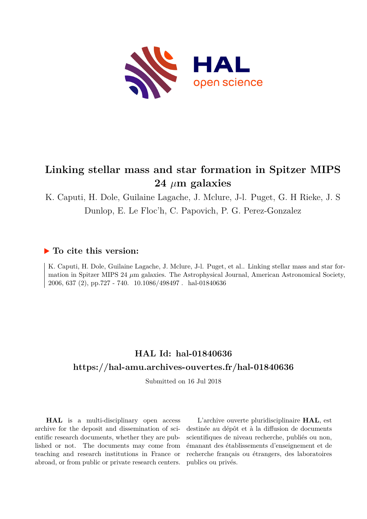

# **Linking stellar mass and star formation in Spitzer MIPS 24** *µ***m galaxies**

K. Caputi, H. Dole, Guilaine Lagache, J. Mclure, J-l. Puget, G. H Rieke, J. S Dunlop, E. Le Floc'h, C. Papovich, P. G. Perez-Gonzalez

## **To cite this version:**

K. Caputi, H. Dole, Guilaine Lagache, J. Mclure, J-l. Puget, et al.. Linking stellar mass and star formation in Spitzer MIPS 24  $\mu$ m galaxies. The Astrophysical Journal, American Astronomical Society, 2006, 637 (2), pp.727 - 740. 10.1086/498497. hal-01840636

# **HAL Id: hal-01840636 <https://hal-amu.archives-ouvertes.fr/hal-01840636>**

Submitted on 16 Jul 2018

**HAL** is a multi-disciplinary open access archive for the deposit and dissemination of scientific research documents, whether they are published or not. The documents may come from teaching and research institutions in France or abroad, or from public or private research centers.

L'archive ouverte pluridisciplinaire **HAL**, est destinée au dépôt et à la diffusion de documents scientifiques de niveau recherche, publiés ou non, émanant des établissements d'enseignement et de recherche français ou étrangers, des laboratoires publics ou privés.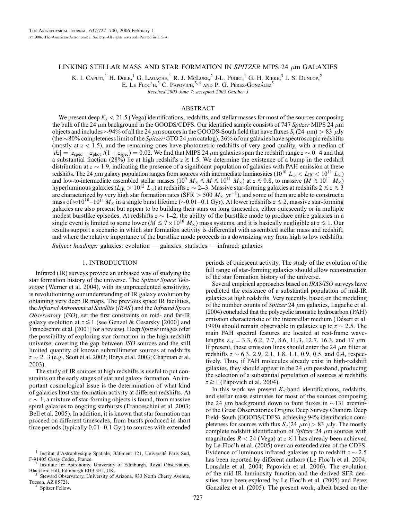### LINKING STELLAR MASS AND STAR FORMATION IN SPITZER MIPS 24  $\mu$ m GALAXIES

K. I. CAPUTI,<sup>1</sup> H. DOLE,<sup>1</sup> G. LAGACHE,<sup>1</sup> R. J. McLure,<sup>2</sup> J-L. Puget,<sup>1</sup> G. H. Rieke,<sup>3</sup> J. S. Dunlop,<sup>2</sup>

E. Le Floc'h,  $3^3$  C. Papovich,  $3,4$  and P. G. Pérez-González<sup>3</sup>

Received 2005 June 7; accepted 2005 October 3

### ABSTRACT

We present deep  $K_s < 21.5$  (Vega) identifications, redshifts, and stellar masses for most of the sources composing the bulk of the 24  $\mu$ m background in the GOODS/CDFS. Our identified sample consists of 747 Spitzer MIPS 24  $\mu$ m objects and includes  $\sim$ 94% of all the 24  $\mu$ m sources in the GOODS-South field that have fluxes  $S_\nu(24\;\mu m) > 83\;\mu Jy$ (the  $\sim$ 80% completeness limit of the *Spitzer*/GTO 24  $\mu$ m catalog); 36% of our galaxies have spectroscopic redshifts (mostly at  $z < 1.5$ ), and the remaining ones have photometric redshifts of very good quality, with a median of  $|dz| = |z_{\text{spec}} - z_{\text{phot}}|/(1 + z_{\text{spec}}) = 0.02$ . We find that MIPS 24  $\mu$ m galaxies span the redshift range  $z \sim 0-4$  and that a substantial fraction (28%) lie at high redshifts  $z \ge 1.5$ . We determine the existence of a bump in the redshift distribution at  $z \sim 1.9$ , indicating the presence of a significant population of galaxies with PAH emission at these redshifts. The 24  $\mu$ m galaxy population ranges from sources with intermediate luminosities (10<sup>10</sup>  $L_{\odot} < L_{\rm IR} < 10^{11} L_{\odot}$ ) and low-to-intermediate assembled stellar masses (10<sup>9</sup>  $M_{\odot} \lesssim M \lesssim 10^{11} M_{\odot}$ ) at  $z \lesssim 0.8$ , to massive ( $M \gtrsim 10^{11} M_{\odot}$ ) hyperluminous galaxies ( $L_{IR} > 10^{12} L_{\odot}$ ) at redshifts  $z \sim 2-3$ . Massive star-forming galaxies at redshifts  $2 \le z \le 3$ are characterized by very high star formation rates (SFR  $> 500~M_\odot~{\rm yr}^{-1}$ ), and some of them are able to construct a mass of  $\approx 10^{10}$ – $10^{11}$   $M_{\odot}$  in a single burst lifetime ( $\sim$ 0.01–0.1 Gyr). At lower redshifts  $z \le 2$ , massive star-forming galaxies are also present but appear to be building their stars on long timescales, either quiescently or in multiple modest burstlike episodes. At redshifts  $z \sim 1-2$ , the ability of the burstlike mode to produce entire galaxies in a single event is limited to some lower ( $M \leq 7 \times 10^{10}$  M<sub>o</sub>) mass systems, and it is basically negligible at  $z \leq 1$ . Our results support a scenario in which star formation activity is differential with assembled stellar mass and redshift, and where the relative importance of the burstlike mode proceeds in a downsizing way from high to low redshifts.

Subject headings: galaxies: evolution — galaxies: statistics — infrared: galaxies

#### 1. INTRODUCTION

Infrared (IR) surveys provide an unbiased way of studying the star formation history of the universe. The Spitzer Space Telescope (Werner et al. 2004), with its unprecedented sensitivity, is revolutionizing our understanding of IR galaxy evolution by obtaining very deep IR maps. The previous space IR facilities, the Infrared Astronomical Satellite (IRAS ) and the Infrared Space Observatory (ISO), set the first constraints on mid- and far-IR galaxy evolution at  $z \leq 1$  (see Genzel & Cesarsky [2000] and Franceschini et al. [2001] for a review). Deep Spitzer images offer the possibility of exploring star formation in the high-redshift universe, covering the gap between ISO sources and the still limited quantity of known submillimeter sources at redshifts  $z \sim 2-3$  (e.g., Scott et al. 2002; Borys et al. 2003; Chapman et al. 2003).

The study of IR sources at high redshifts is useful to put constraints on the early stages of star and galaxy formation. An important cosmological issue is the determination of what kind of galaxies host star formation activity at different redshifts. At  $z \sim 1$ , a mixture of star-forming objects is found, from massive spiral galaxies to ongoing starbursts (Franceschini et al. 2003; Bell et al. 2005). In addition, it is known that star formation can proceed on different timescales, from bursts produced in short time periods (typically 0.01–0.1 Gyr) to sources with extended periods of quiescent activity. The study of the evolution of the full range of star-forming galaxies should allow reconstruction of the star formation history of the universe.

Several empirical approaches based on IRAS/ISO surveys have predicted the existence of a substantial population of mid-IR galaxies at high redshifts. Very recently, based on the modeling of the number counts of Spitzer 24  $\mu$ m galaxies, Lagache et al. (2004) concluded that the polycyclic aromatic hydrocarbon (PAH) emission characteristic of the interstellar medium (Désert et al. 1990) should remain observable in galaxies up to  $z \sim 2.5$ . The main PAH spectral features are located at rest-frame wavelengths  $\lambda_{\text{rf}} = 3.3, 6.2, 7.7, 8.6, 11.3, 12.7, 16.3,$  and 17  $\mu$ m. If present, these emission lines should enter the 24  $\mu$ m filter at redshifts  $z \sim 6.3$ , 2.9, 2.1, 1.8, 1.1, 0.9, 0.5, and 0.4, respectively. Thus, if PAH molecules already exist in high-redshift galaxies, they should appear in the 24  $\mu$ m passband, producing the selection of a substantial population of sources at redshifts  $z \gtrsim 1$  (Papovich et al. 2004).

In this work we present  $K_s$ -band identifications, redshifts, and stellar mass estimates for most of the sources composing the 24  $\mu$ m background down to faint fluxes in  $\sim$ 131 arcmin<sup>2</sup> of the Great Observatories Origins Deep Survey Chandra Deep Field–South (GOODS/CDFS), achieving 94% identification completeness for sources with flux  $S_{\nu}(24 \mu m) > 83 \mu Jy$ . The mostly complete redshift identification of Spitzer 24  $\mu$ m sources with magnitudes  $R < 24$  (Vega) at  $z \leq 1$  has already been achieved by Le Floc'h et al. (2005) over an extended area of the CDFS. Evidence of luminous infrared galaxies up to redshift  $z \sim 2.5$ has been reported by different authors (Le Floc'h et al. 2004; Lonsdale et al. 2004; Papovich et al. 2006). The evolution of the mid-IR luminosity function and the derived SFR densities have been explored by Le Floc'h et al. (2005) and Pérez González et al. (2005). The present work, albeit based on the

<sup>&</sup>lt;sup>1</sup> Institut d'Astrophysique Spatiale, Bâtiment 121, Université Paris Sud, F-91405 Orsay Cedex, France.

<sup>&</sup>lt;sup>2</sup> Institute for Astronomy, University of Edinburgh, Royal Observatory, Blackford Hill, Edinburgh EH9 3HJ, UK.

Steward Observatory, University of Arizona, 933 North Cherry Avenue, Tucson, AZ 85721.<br><sup>4</sup> Spitzer Fellow.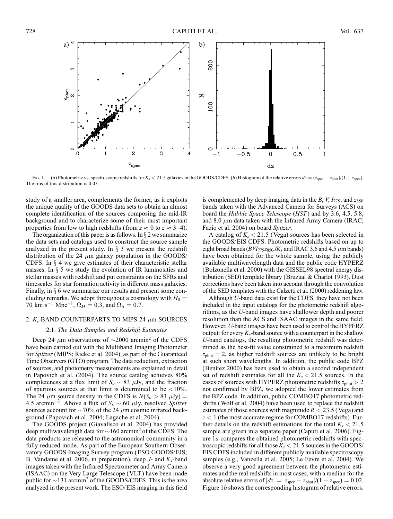

Fig. 1.—(a) Photometric vs. spectroscopic redshifts for  $K_s < 21.5$  galaxies in the GOODS/CDFS. (b) Histogram of the relative errors  $dz = (z_{spec} - z_{phot})/(1 + z_{spec})$ . The rms of this distribution is 0.03.

study of a smaller area, complements the former, as it exploits the unique quality of the GOODS data sets to obtain an almost complete identification of the sources composing the mid-IR background and to characterize some of their most important properties from low to high redshifts (from  $z \approx 0$  to  $z \approx 3-4$ ).

The organization of this paper is as follows. In  $\S 2$  we summarize the data sets and catalogs used to construct the source sample analyzed in the present study. In  $\S$  3 we present the redshift distribution of the 24  $\mu$ m galaxy population in the GOODS/ CDFS. In  $\S$  4 we give estimates of their characteristic stellar masses. In  $\S$  5 we study the evolution of IR luminosities and stellar masses with redshift and put constraints on the SFRs and timescales for star formation activity in different mass galaxies. Finally, in  $\S$  6 we summarize our results and present some concluding remarks. We adopt throughout a cosmology with  $H_0 =$ 70 km s<sup>-1</sup> Mpc<sup>-1</sup>,  $\Omega_M = 0.3$ , and  $\Omega_{\Lambda} = 0.7$ .

#### 2.  $K_s$ -BAND COUNTERPARTS TO MIPS 24  $\mu$ m SOURCES

#### 2.1. The Data Samples and Redshift Estimates

Deep 24  $\mu$ m observations of  $\sim$ 2000 arcmin<sup>2</sup> of the CDFS have been carried out with the Multiband Imaging Photometer for Spitzer (MIPS; Rieke et al. 2004), as part of the Guaranteed Time Observers (GTO) program. The data reduction, extraction of sources, and photometry measurements are explained in detail in Papovich et al. (2004). The source catalog achieves 80% completeness at a flux limit of  $S_{\nu} \sim 83 \mu Jy$ , and the fraction of spurious sources at that limit is determined to be  $\langle 10\% \rangle$ . The 24  $\mu$ m source density in the CDFS is  $N(S_\nu > 83 \mu Jy) =$ 4.5 arcmin<sup>-2</sup>. Above a flux of  $S_{\nu} \sim 60 \mu Jy$ , resolved *Spitzer* sources account for  $\sim$ 70% of the 24  $\mu$ m cosmic infrared background (Papovich et al. 2004; Lagache et al. 2004).

The GOODS project (Giavalisco et al. 2004) has provided deep multiwavelength data for  $\sim$ 160 arcmin<sup>2</sup> of the CDFS. The data products are released to the astronomical community in a fully reduced mode. As part of the European Southern Observatory GOODS Imaging Survey program (ESO GOODS/EIS; B. Vandame et al. 2006, in preparation), deep  $J$ - and  $K_s$ -band images taken with the Infrared Spectrometer and Array Camera (ISAAC) on the Very Large Telescope (VLT ) have been made public for  $\sim$ 131 arcmin<sup>2</sup> of the GOODS/CDFS. This is the area analyzed in the present work. The ESO/EIS imaging in this field

is complemented by deep imaging data in the B,  $V$ ,  $I_{775}$ , and  $z_{850}$ bands taken with the Advanced Camera for Surveys (ACS) on board the *Hubble Space Telescope* (*HST*) and by 3.6, 4.5, 5.8, and 8.0  $\mu$ m data taken with the Infrared Array Camera (IRAC; Fazio et al. 2004) on board Spitzer.

A catalog of  $K_s < 21.5$  (Vega) sources has been selected in the GOODS/EIS CDFS. Photometric redshifts based on up to eight broad bands ( $BVI_{775}z_{850}JK_s$  and IRAC 3.6 and 4.5  $\mu$ m bands) have been obtained for the whole sample, using the publicly available multiwavelength data and the public code HYPERZ (Bolzonella et al. 2000) with the GISSEL98 spectral energy distribution (SED) template library (Bruzual & Charlot 1993). Dust corrections have been taken into account through the convolution of the SED templates with the Calzetti et al. (2000) reddening law.

Although U-band data exist for the CDFS, they have not been included in the input catalogs for the photometric redshift algorithms, as the U-band images have shallower depth and poorer resolution than the ACS and ISAAC images in the same field. However, U-band images have been used to control the HYPERZ output: for every  $K_s$ -band source with a counterpart in the shallow U-band catalogs, the resulting photometric redshift was determined as the best-fit value constrained to a maximum redshift  $z<sub>phot</sub> = 2$ , as higher redshift sources are unlikely to be bright at such short wavelengths. In addition, the public code BPZ (Benitez 2000) has been used to obtain a second independent set of redshift estimates for all the  $K_s < 21.5$  sources. In the cases of sources with HYPERZ photometric redshifts  $z_{phot} > 2$ not confirmed by BPZ, we adopted the lower estimates from the BPZ code. In addition, public COMBO17 photometric redshifts (Wolf et al. 2004) have been used to replace the redshift estimates of those sources with magnitude  $R < 23.5$  (Vega) and  $z < 1$  (the most accurate regime for COMBO17 redshifts). Further details on the redshift estimations for the total  $K_s < 21.5$ sample are given in a separate paper (Caputi et al. 2006). Figure 1a compares the obtained photometric redshifts with spectroscopic redshifts for all those  $K_s < 21.5$  sources in the GOODS/ EIS CDFS included in different publicly available spectroscopy samples (e.g., Vanzella et al. 2005; Le Fèvre et al. 2004). We observe a very good agreement between the photometric estimates and the real redshifts in most cases, with a median for the absolute relative errors of  $|dz| = |z_{\text{spec}} - z_{\text{phot}}|/(1 + z_{\text{spec}}) = 0.02$ . Figure 1b shows the corresponding histogram of relative errors.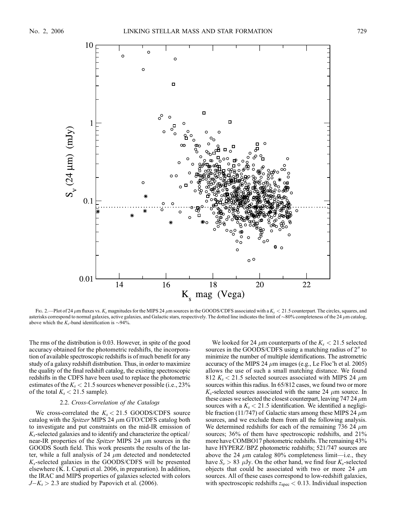

Fig. 2.—Plot of 24  $\mu$ m fluxes vs. K<sub>s</sub> magnitudes for the MIPS 24  $\mu$ m sources in the GOODS/CDFS associated with a K<sub>s</sub> < 21.5 counterpart. The circles, squares, and asterisks correspond to normal galaxies, active galaxies, and Galactic stars, respectively. The dotted line indicates the limit of  $\sim$ 80% completeness of the 24  $\mu$ m catalog, above which the  $K_s$ -band identification is  $\sim$ 94%.

The rms of the distribution is 0.03. However, in spite of the good accuracy obtained for the photometric redshifts, the incorporation of available spectroscopic redshifts is of much benefit for any study of a galaxy redshift distribution. Thus, in order to maximize the quality of the final redshift catalog, the existing spectroscopic redshifts in the CDFS have been used to replace the photometric estimates of the  $K_s < 21.5$  sources whenever possible (i.e., 23%) of the total  $K_s < 21.5$  sample).

#### 2.2. Cross-Correlation of the Catalogs

We cross-correlated the  $K_s < 21.5$  GOODS/CDFS source catalog with the *Spitzer* MIPS 24  $\mu$ m GTO/CDFS catalog both to investigate and put constraints on the mid-IR emission of  $K_s$ -selected galaxies and to identify and characterize the optical/ near-IR properties of the Spitzer MIPS 24  $\mu$ m sources in the GOODS South field. This work presents the results of the latter, while a full analysis of 24  $\mu$ m detected and nondetected  $K_s$ -selected galaxies in the GOODS/CDFS will be presented elsewhere (K. I. Caputi et al. 2006, in preparation). In addition, the IRAC and MIPS properties of galaxies selected with colors  $J-K_s > 2.3$  are studied by Papovich et al. (2006).

We looked for 24  $\mu$ m counterparts of the  $K_s < 21.5$  selected sources in the GOODS/CDFS using a matching radius of  $2<sup>u</sup>$  to minimize the number of multiple identifications. The astrometric accuracy of the MIPS 24  $\mu$ m images (e.g., Le Floc'h et al. 2005) allows the use of such a small matching distance. We found 812  $K_s$  < 21.5 selected sources associated with MIPS 24  $\mu$ m sources within this radius. In 65/812 cases, we found two or more  $K_s$ -selected sources associated with the same 24  $\mu$ m source. In these cases we selected the closest counterpart, leaving 747 24  $\mu$ m sources with a  $K_s < 21.5$  identification. We identified a negligible fraction (11/747) of Galactic stars among these MIPS 24  $\mu$ m sources, and we exclude them from all the following analysis. We determined redshifts for each of the remaining 736 24  $\mu$ m sources; 36% of them have spectroscopic redshifts, and 21% more have COMBO17 photometric redshifts. The remaining 43% have HYPERZ/BPZ photometric redshifts; 521/747 sources are above the 24  $\mu$ m catalog 80% completeness limit—i.e., they have  $S_{\nu} > 83 \mu Jy$ . On the other hand, we find four  $K_s$ -selected objects that could be associated with two or more 24  $\mu$ m sources. All of these cases correspond to low-redshift galaxies, with spectroscopic redshifts  $z_{\text{spec}} < 0.13$ . Individual inspection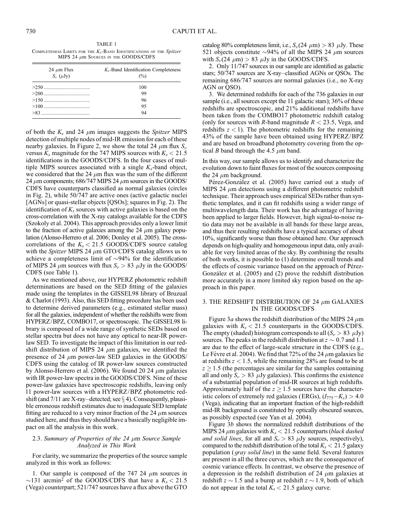TABLE 1 COMPLETENESS LIMITS FOR THE  $K_s$ -BAND IDENTIFICATIONS OF THE Spitzer MIPS 24  $\mu$ m Sources in the GOODS/CDFS

| 24 $\mu$ m Flux<br>$S_{\nu}$ ( $\mu$ Jy) | $K_s$ -Band Identification Completeness<br>$\frac{6}{2}$ |
|------------------------------------------|----------------------------------------------------------|
|                                          | 100                                                      |
|                                          | 99                                                       |
|                                          | 96                                                       |
|                                          | 95                                                       |
|                                          | 94                                                       |

of both the  $K_s$  and 24  $\mu$ m images suggests the Spitzer MIPS detection of multiple nodes of mid-IR emission for each of these nearby galaxies. In Figure 2, we show the total 24  $\mu$ m flux  $S_{\nu}$ versus  $K_s$  magnitude for the 747 MIPS sources with  $K_s < 21.5$ identifications in the GOODS/CDFS. In the four cases of multiple MIPS sources associated with a single  $K_s$ -band object, we considered that the 24  $\mu$ m flux was the sum of the different 24  $\mu$ m components; 686/747 MIPS 24  $\mu$ m sources in the GOODS/ CDFS have counterparts classified as normal galaxies (circles in Fig. 2), while 50/747 are active ones (active galactic nuclei [AGNs] or quasi-stellar objects [QSOs]; squares in Fig. 2). The identification of  $K_s$  sources with active galaxies is based on the cross-correlation with the X-ray catalogs available for the CDFS (Szokoly et al. 2004). This approach provides only a lower limit to the fraction of active galaxies among the 24  $\mu$ m galaxy population (Alonso-Herrero et al. 2006; Donley et al. 2005). The crosscorrelations of the  $K_s < 21.5$  GOODS/CDFS source catalog with the Spitzer MIPS 24  $\mu$ m GTO/CDFS catalog allows us to achieve a completeness limit of  $\sim$ 94% for the identification of MIPS 24  $\mu$ m sources with flux  $S_{\nu} > 83 \mu$ Jy in the GOODS/ CDFS (see Table 1).

As we mentioned above, our HYPERZ photometric redshift determinations are based on the SED fitting of the galaxies made using the templates in the GISSEL98 library of Bruzual & Charlot (1993). Also, this SED fitting procedure has been used to determine derived parameters (e.g., estimated stellar mass) for all the galaxies, independent of whether the redshifts were from HYPERZ/BPZ, COMBO17, or spectroscopic. The GISSEL98 library is composed of a wide range of synthetic SEDs based on stellar spectra but does not have any optical to near-IR powerlaw SED. To investigate the impact of this limitation in our redshift distribution of MIPS 24  $\mu$ m galaxies, we identified the presence of 24  $\mu$ m power-law SED galaxies in the GOODS/ CDFS using the catalog of IR power-law sources constructed by Alonso-Herrero et al. (2006). We found 20 24  $\mu$ m galaxies with IR power-law spectra in the GOODS/CDFS. Nine of these power-law galaxies have spectroscopic redshifts, leaving only 11 power-law sources with a HYPERZ/BPZ photometric redshift (and  $7/11$  are X-ray-detected; see  $\S$  4). Consequently, plausible erroneous redshift estimates due to inadequate SED template fitting are reduced to a very minor fraction of the 24  $\mu$ m sources studied here, and thus they should have a basically negligible impact on all the analysis in this work.

#### 2.3. Summary of Properties of the  $24 \mu m$  Source Sample Analyzed in This Work

For clarity, we summarize the properties of the source sample analyzed in this work as follows:

1. Our sample is composed of the 747 24  $\mu$ m sources in  $\sim$ 131 arcmin<sup>2</sup> of the GOODS/CDFS that have a  $K_s$  < 21.5 (Vega) counterpart; 521/747 sources have a flux above the GTO

catalog 80% completeness limit, i.e.,  $S_{\nu}(24 \mu m) > 83 \mu Jy$ . These 521 objects constitute  $\sim$ 94% of all the MIPS 24  $\mu$ m sources with  $S_{\nu}(24 \mu m) > 83 \mu Jy$  in the GOODS/CDFS.

2. Only 11/747 sources in our sample are identified as galactic stars; 50/747 sources are X-ray–classified AGNs or QSOs. The remaining 686/747 sources are normal galaxies (i.e., no X-ray AGN or QSO).

3. We determined redshifts for each of the 736 galaxies in our sample (i.e., all sources except the 11 galactic stars); 36% of these redshifts are spectroscopic, and 21% additional redshifts have been taken from the COMBO17 photometric redshift catalog (only for sources with R-band magnitude  $R < 23.5$ , Vega, and redshifts  $z < 1$ ). The photometric redshifts for the remaining 43% of the sample have been obtained using HYPERZ/BPZ and are based on broadband photometry covering from the optical *B* band through the 4.5  $\mu$ m band.

In this way, our sample allows us to identify and characterize the evolution down to faint fluxes for most of the sources composing the 24  $\mu$ m background.

Pérez-González et al. (2005) have carried out a study of MIPS 24  $\mu$ m detections using a different photometric redshift technique. Their approach uses empirical SEDs rather than synthetic templates, and it can fit redshifts using a wider range of multiwavelength data. Their work has the advantage of having been applied to larger fields. However, high signal-to-noise ratio data may not be available in all bands for these large areas, and thus their resulting redshifts have a typical accuracy of about 10%, significantly worse than those obtained here. Our approach depends on high-quality and homogeneous input data, only available for very limited areas of the sky. By combining the results of both works, it is possible to (1) determine overall trends and the effects of cosmic variance based on the approach of Pérez-González et al. (2005) and (2) prove the redshift distribution more accurately in a more limited sky region based on the approach in this paper.

### 3. THE REDSHIFT DISTRIBUTION OF 24  $\mu$ m GALAXIES IN THE GOODS/CDFS

Figure 3a shows the redshift distribution of the MIPS 24  $\mu$ m galaxies with  $K_s < 21.5$  counterparts in the GOODS/CDFS. The empty (shaded) histogram corresponds to all  $(S_\nu > 83 \mu Jy)$ sources. The peaks in the redshift distribution at  $z \sim 0.7$  and 1.1 are due to the effect of large-scale structure in the CDFS (e.g., Le Fèvre et al. 2004). We find that 72% of the 24  $\mu$ m galaxies lie at redshifts  $z < 1.5$ , while the remaining 28% are found to be at  $z \ge 1.5$  (the percentages are similar for the samples containing all and only  $S_{\nu} > 83$   $\mu$ Jy galaxies). This confirms the existence of a substantial population of mid-IR sources at high redshifts. Approximately half of the  $z \ge 1.5$  sources have the characteristic colors of extremely red galaxies (ERGs),  $(I_{775} - K_s) > 4.0$ (Vega), indicating that an important fraction of the high-redshift mid-IR background is constituted by optically obscured sources, as possibly expected (see Yan et al. 2004).

Figure 3b shows the normalized redshift distributions of the MIPS 24  $\mu$ m galaxies with  $K_s < 21.5$  counterparts (black dashed and solid lines, for all and  $S_{\nu} > 83$   $\mu$ Jy sources, respectively), compared to the redshift distribution of the total  $K_s < 21.5$  galaxy population (gray solid line) in the same field. Several features are present in all the three curves, which are the consequence of cosmic variance effects. In contrast, we observe the presence of a depression in the redshift distribution of 24  $\mu$ m galaxies at redshift  $z \sim 1.5$  and a bump at redshift  $z \sim 1.9$ , both of which do not appear in the total  $K_s < 21.5$  galaxy curve.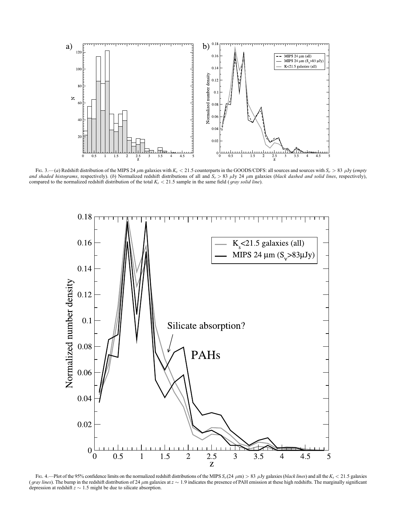

Fig. 3.—(a) Redshift distribution of the MIPS 24  $\mu$ m galaxies with  $K_s < 21.5$  counterparts in the GOODS/CDFS: all sources and sources with  $S_{\nu} > 83$   $\mu$ Jy (empty and shaded histograms, respectively). (b) Normalized redshift distributions of all and  $S_{\nu} > 83$   $\mu$ Jy 24  $\mu$ m galaxies (black dashed and solid lines, respectively), compared to the normalized redshift distribution of the total  $K_s < 21.5$  sample in the same field (*gray solid line*).



Fig. 4.—Plot of the 95% confidence limits on the normalized redshift distributions of the MIPS  $S_{\nu}(24 \mu m) > 83 \mu Jy$  galaxies (*black lines*) and all the  $K_s < 21.5$  galaxies (gray lines). The bump in the redshift distribution of 24  $\mu$ m galaxies at  $z \sim 1.9$  indicates the presence of PAH emission at these high redshifts. The marginally significant depression at redshift  $z \sim 1.5$  might be due to silicate absorption.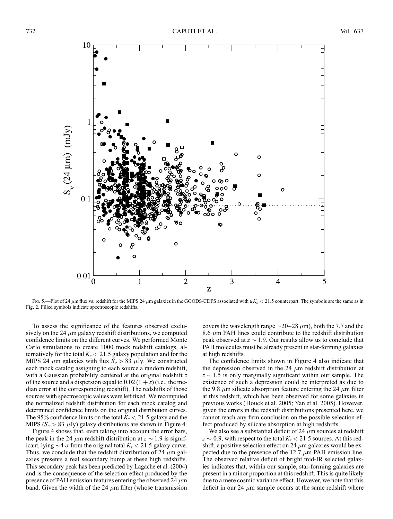

Fig. 5.—Plot of 24  $\mu$ m flux vs. redshift for the MIPS 24  $\mu$ m galaxies in the GOODS/CDFS associated with a  $K_s < 21.5$  counterpart. The symbols are the same as in Fig. 2. Filled symbols indicate spectroscopic redshifts.

To assess the significance of the features observed exclusively on the 24  $\mu$ m galaxy redshift distributions, we computed confidence limits on the different curves. We performed Monte Carlo simulations to create 1000 mock redshift catalogs, alternatively for the total  $K_s < 21.5$  galaxy population and for the MIPS 24  $\mu$ m galaxies with flux  $S_{\nu} > 83 \mu$ Jy. We constructed each mock catalog assigning to each source a random redshift, with a Gaussian probability centered at the original redshift z of the source and a dispersion equal to  $0.02(1 + z)$  (i.e., the median error at the corresponding redshift). The redshifts of those sources with spectroscopic values were left fixed. We recomputed the normalized redshift distribution for each mock catalog and determined confidence limits on the original distribution curves. The 95% confidence limits on the total  $K_s < 21.5$  galaxy and the MIPS  $(S_\nu > 83 \mu Jy)$  galaxy distributions are shown in Figure 4.

Figure 4 shows that, even taking into account the error bars, the peak in the 24  $\mu$ m redshift distribution at  $z \sim 1.9$  is significant, lying  $\sim$  4  $\sigma$  from the original total  $K_s$  < 21.5 galaxy curve. Thus, we conclude that the redshift distribution of 24  $\mu$ m galaxies presents a real secondary bump at these high redshifts. This secondary peak has been predicted by Lagache et al. (2004) and is the consequence of the selection effect produced by the presence of PAH emission features entering the observed 24  $\mu$ m band. Given the width of the 24  $\mu$ m filter (whose transmission covers the wavelength range  $\sim$ 20–28  $\mu$ m), both the 7.7 and the 8.6  $\mu$ m PAH lines could contribute to the redshift distribution peak observed at  $z \sim 1.9$ . Our results allow us to conclude that PAH molecules must be already present in star-forming galaxies at high redshifts.

The confidence limits shown in Figure 4 also indicate that the depression observed in the 24  $\mu$ m redshift distribution at  $z \sim 1.5$  is only marginally significant within our sample. The existence of such a depression could be interpreted as due to the 9.8  $\mu$ m silicate absorption feature entering the 24  $\mu$ m filter at this redshift, which has been observed for some galaxies in previous works (Houck et al. 2005; Yan et al. 2005). However, given the errors in the redshift distributions presented here, we cannot reach any firm conclusion on the possible selection effect produced by silicate absorption at high redshifts.

We also see a substantial deficit of 24  $\mu$ m sources at redshift  $z \sim 0.9$ , with respect to the total  $K_s < 21.5$  sources. At this redshift, a positive selection effect on 24  $\mu$ m galaxies would be expected due to the presence of the 12.7  $\mu$ m PAH emission line. The observed relative deficit of bright mid-IR selected galaxies indicates that, within our sample, star-forming galaxies are present in a minor proportion at this redshift. This is quite likely due to a mere cosmic variance effect. However, we note that this deficit in our 24  $\mu$ m sample occurs at the same redshift where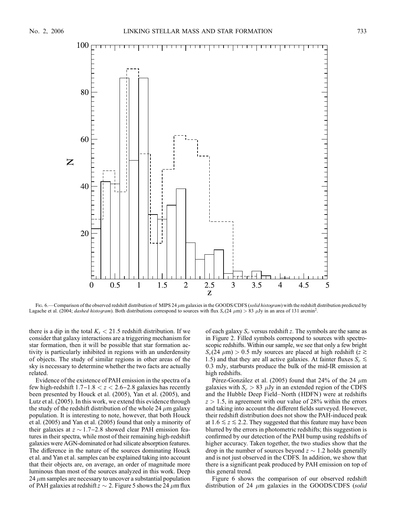

Fig. 6.—Comparison of the observed redshift distribution of MIPS 24  $\mu$ m galaxies in the GOODS/CDFS (solid histogram) with the redshift distribution predicted by Lagache et al. (2004; *dashed histogram*). Both distributions correspond to sources with flux  $S_{\nu}(24 \mu m) > 83 \mu Jy$  in an area of 131 arcmin<sup>2</sup>.

there is a dip in the total  $K_s < 21.5$  redshift distribution. If we consider that galaxy interactions are a triggering mechanism for star formation, then it will be possible that star formation activity is particularly inhibited in regions with an underdensity of objects. The study of similar regions in other areas of the sky is necessary to determine whether the two facts are actually related.

Evidence of the existence of PAH emission in the spectra of a few high-redshift  $1.7 - 1.8 < z < 2.6 - 2.8$  galaxies has recently been presented by Houck et al. (2005), Yan et al. (2005), and Lutz et al. (2005). In this work, we extend this evidence through the study of the redshift distribution of the whole 24  $\mu$ m galaxy population. It is interesting to note, however, that both Houck et al. (2005) and Yan et al. (2005) found that only a minority of their galaxies at  $z \sim 1.7 - 2.8$  showed clear PAH emission features in their spectra, while most of their remaining high-redshift galaxies were AGN-dominated or had silicate absorption features. The difference in the nature of the sources dominating Houck et al. and Yan et al. samples can be explained taking into account that their objects are, on average, an order of magnitude more luminous than most of the sources analyzed in this work. Deep  $24 \mu$ m samples are necessary to uncover a substantial population of PAH galaxies at redshift  $z \sim 2$ . Figure 5 shows the 24  $\mu$ m flux

of each galaxy  $S_{\nu}$  versus redshift z. The symbols are the same as in Figure 2. Filled symbols correspond to sources with spectroscopic redshifts. Within our sample, we see that only a few bright  $S_{\nu}(24 \mu m) > 0.5$  mJy sources are placed at high redshift  $(z \gtrsim$ 1.5) and that they are all active galaxies. At fainter fluxes  $S_{\nu} \lesssim$ 0:3 mJy, starbursts produce the bulk of the mid-IR emission at high redshifts.

Pérez-González et al. (2005) found that 24% of the 24  $\mu$ m galaxies with  $S_{\nu} > 83 \mu Jy$  in an extended region of the CDFS and the Hubble Deep Field–North (HDFN ) were at redshifts  $z > 1.5$ , in agreement with our value of 28% within the errors and taking into account the different fields surveyed. However, their redshift distribution does not show the PAH-induced peak at  $1.6 \le z \le 2.2$ . They suggested that this feature may have been blurred by the errors in photometric redshifts; this suggestion is confirmed by our detection of the PAH bump using redshifts of higher accuracy. Taken together, the two studies show that the drop in the number of sources beyond  $z \sim 1.2$  holds generally and is not just observed in the CDFS. In addition, we show that there is a significant peak produced by PAH emission on top of this general trend.

Figure 6 shows the comparison of our observed redshift distribution of 24  $\mu$ m galaxies in the GOODS/CDFS (solid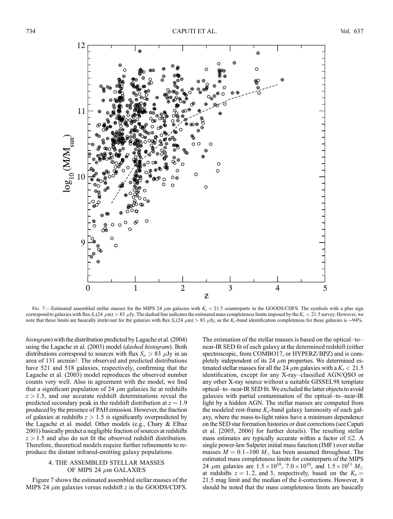

Fig. 7.—Estimated assembled stellar masses for the MIPS 24  $\mu$ m galaxies with K<sub>s</sub> < 21.5 counterparts in the GOODS/CDFS. The symbols with a plus sign correspond to galaxies with flux  $S_{\nu}(24 \mu m) > 83 \mu Jy$ . The dashed line indicates the estimated mass completeness limits imposed by the  $K_s < 21.5$  survey. However, we note that these limits are basically irrelevant for the galaxies with flux  $S_{\nu}(24 \mu m) > 83 \mu Jy$ , as the  $K_s$ -band identification completeness for these galaxies is  $\sim$ 94%.

histogram) with the distribution predicted by Lagache et al. (2004) using the Lagache et al. (2003) model (dashed histogram). Both distributions correspond to sources with flux  $S_{\nu} > 83$   $\mu$ Jy in an area of 131 arcmin2. The observed and predicted distributions have 521 and 518 galaxies, respectively, confirming that the Lagache et al. (2003) model reproduces the observed number counts very well. Also in agreement with the model, we find that a significant population of 24  $\mu$ m galaxies lie at redshifts  $z > 1.5$ , and our accurate redshift determinations reveal the predicted secondary peak in the redshift distribution at  $z \sim 1.9$ produced by the presence of PAH emission. However, the fraction of galaxies at redshifts  $z > 1.5$  is significantly overpredicted by the Lagache et al. model. Other models (e.g., Chary & Elbaz 2001) basically predict a negligible fraction of sources at redshifts  $z > 1.5$  and also do not fit the observed redshift distribution. Therefore, theoretical models require further refinements to reproduce the distant infrared-emitting galaxy populations.

### 4. THE ASSEMBLED STELLAR MASSES OF MIPS 24  $\mu$ m GALAXIES

Figure 7 shows the estimated assembled stellar masses of the MIPS 24  $\mu$ m galaxies versus redshift z in the GOODS/CDFS. The estimation of the stellar masses is based on the optical–to– near-IR SED fit of each galaxy at the determined redshift (either spectroscopic, from COMBO17, or HYPERZ/BPZ) and is completely independent of its 24  $\mu$ m properties. We determined estimated stellar masses for all the 24  $\mu$ m galaxies with a  $K_s < 21.5$ identification, except for any X-ray–classified AGN/QSO or any other X-ray source without a suitable GISSEL98 template optical–to–near-IR SED fit. We excluded the latter objects to avoid galaxies with partial contamination of the optical–to–near-IR light by a hidden AGN. The stellar masses are computed from the modeled rest-frame  $K_s$ -band galaxy luminosity of each galaxy, where the mass-to-light ratios have a minimum dependence on the SED star formation histories or dust corrections (see Caputi et al. [2005, 2006] for further details). The resulting stellar mass estimates are typically accurate within a factor of  $\leq 2$ . A single power-law Salpeter initial mass function (IMF ) over stellar masses  $M = 0.1{\text{-}}100 M_{\odot}$  has been assumed throughout. The estimated mass completeness limits for counterparts of the MIPS 24  $\mu$ m galaxies are  $1.5 \times 10^{10}$ ,  $7.0 \times 10^{10}$ , and  $1.5 \times 10^{11}$   $M_{\odot}$ at redshifts  $z = 1, 2$ , and 3, respectively, based on the  $K_s =$ 21:5 mag limit and the median of the k-corrections. However, it should be noted that the mass completeness limits are basically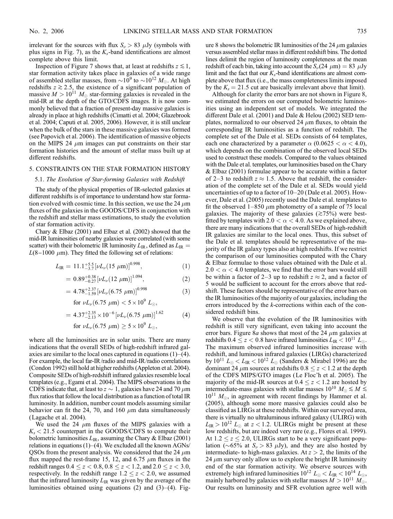irrelevant for the sources with flux  $S_{\nu} > 83 \mu Jy$  (symbols with plus signs in Fig. 7), as the  $K_s$ -band identifications are almost complete above this limit.

Inspection of Figure 7 shows that, at least at redshifts  $z \leq 1$ , star formation activity takes place in galaxies of a wide range of assembled stellar masses, from  $\sim 10^9$  to  $\sim 10^{12}$  M<sub>o</sub>. At high redshifts  $z \ge 2.5$ , the existence of a significant population of massive  $M > 10^{11} M_{\odot}$  star-forming galaxies is revealed in the mid-IR at the depth of the GTO/CDFS images. It is now commonly believed that a fraction of present-day massive galaxies is already in place at high redshifts (Cimatti et al. 2004; Glazebrook et al. 2004; Caputi et al. 2005, 2006). However, it is still unclear when the bulk of the stars in these massive galaxies was formed (see Papovich et al. 2006). The identification of massive objects on the MIPS 24  $\mu$ m images can put constraints on their star formation histories and the amount of stellar mass built up at different redshifts.

### 5. CONSTRAINTS ON THE STAR FORMATION HISTORY

#### 5.1. The Evolution of Star-forming Galaxies with Redshift

The study of the physical properties of IR-selected galaxies at different redshifts is of importance to understand how star formation evolved with cosmic time. In this section, we use the 24  $\mu$ m fluxes of the galaxies in the GOODS/CDFS in conjunction with the redshift and stellar mass estimations, to study the evolution of star formation activity.

Chary & Elbaz (2001) and Elbaz et al. (2002) showed that the mid-IR luminosities of nearby galaxies were correlated (with some scatter) with their bolometric IR luminosity  $L_{IR}$ , defined as  $L_{IR}$  =  $L(8-1000 \mu m)$ . They fitted the following set of relations:

$$
L_{\rm IR} = 11.1^{+5.5}_{-3.7} \left[ \nu L_{\nu} (15 \ \mu \text{m}) \right]^{0.998},\tag{1}
$$

$$
= 0.89^{+0.38}_{-0.27} [\nu L_{\nu} (12 \ \mu m)]^{1.094}, \tag{2}
$$

$$
=4.78_{-1.59}^{+2.37}[\nu L_{\nu}(6.75 \ \mu m)]^{0.998} \tag{3}
$$

for  $\nu L_{\nu} (6.75 \ \mu \text{m}) < 5 \times 10^9 \ L_{\odot},$ 

$$
= 4.37^{+2.35}_{-2.13} \times 10^{-6} \left[ \nu L_{\nu} (6.75 \ \mu m) \right]^{1.62} \tag{4}
$$

for  $\nu L_{\nu} (6.75 \ \mu \text{m}) \ge 5 \times 10^9 \ L_{\odot},$ 

where all the luminosities are in solar units. There are many indications that the overall SEDs of high-redshift infrared galaxies are similar to the local ones captured in equations  $(1)$ – $(4)$ . For example, the local far-IR/radio and mid-IR/radio correlations (Condon 1992) still hold at higher redshifts (Appleton et al. 2004). Composite SEDs of high-redshift infrared galaxies resemble local templates (e.g., Egami et al. 2004). The MIPS observations in the CDFS indicate that, at least to  $z \sim 1$ , galaxies have 24 and 70  $\mu$ m flux ratios that follow the local distribution as a function of total IR luminosity. In addition, number count models assuming similar behavior can fit the 24, 70, and 160  $\mu$ m data simultaneously (Lagache et al. 2004).

We used the 24  $\mu$ m fluxes of the MIPS galaxies with a  $K_s < 21.5$  counterpart in the GOODS/CDFS to compute their bolometric luminosities  $L_{\text{IR}}$ , assuming the Chary & Elbaz (2001) relations in equations (1)–(4). We excluded all the known AGNs/ QSOs from the present analysis. We considered that the 24  $\mu$ m flux mapped the rest-frame 15, 12, and 6.75  $\mu$ m fluxes in the redshift ranges  $0.4 \le z < 0.8, 0.8 \le z < 1.2$ , and  $2.0 \le z < 3.0$ , respectively. In the redshift range  $1.2 \le z < 2.0$ , we assumed that the infrared luminosity  $L_{IR}$  was given by the average of the luminosities obtained using equations (2) and (3)–(4). Figure 8 shows the bolometric IR luminosities of the 24  $\mu$ m galaxies versus assembled stellar mass in different redshift bins. The dotted lines delimit the region of luminosity completeness at the mean redshift of each bin, taking into account the  $S_{\nu}(24 \mu m) = 83 \mu Jy$ limit and the fact that our  $K_s$ -band identifications are almost complete above that flux (i.e., the mass completeness limits imposed by the  $K_s = 21.5$  cut are basically irrelevant above that limit).

Although for clarity the error bars are not shown in Figure 8, we estimated the errors on our computed bolometric luminosities using an independent set of models. We integrated the different Dale et al. (2001) and Dale & Helou (2002) SED templates, normalized to our observed 24  $\mu$ m fluxes, to obtain the corresponding IR luminosities as a function of redshift. The complete set of the Dale et al. SEDs consists of 64 templates, each one characterized by a parameter  $\alpha$  (0.0625 <  $\alpha$  < 4.0), which depends on the combination of the observed local SEDs used to construct these models. Compared to the values obtained with the Dale et al. templates, our luminosities based on the Chary & Elbaz (2001) formulae appear to be accurate within a factor of 2–3 to redshift  $z \approx 1.5$ . Above that redshift, the consideration of the complete set of the Dale et al. SEDs would yield uncertainties of up to a factor of 10–20 (Dale et al. 2005). However, Dale et al. (2005) recently used the Dale et al. templates to fit the observed 1–850  $\mu$ m photometry of a sample of 75 local galaxies. The majority of these galaxies ( $\gtrsim$ 75%) were bestfitted by templates with 2.0  $< \alpha < 4.0$ . As we explained above, there are many indications that the overall SEDs of high-redshift IR galaxies are similar to the local ones. Thus, this subset of the Dale et al. templates should be representative of the majority of the IR galaxy types also at high redshifts. If we restrict the comparison of our luminosities computed with the Chary & Elbaz formulae to those values obtained with the Dale et al.  $2.0 < \alpha < 4.0$  templates, we find that the error bars would still be within a factor of 2–3 up to redshift  $z \approx 2$ , and a factor of 5 would be sufficient to account for the errors above that redshift. These factors should be representative of the error bars on the IR luminosities of the majority of our galaxies, including the errors introduced by the k-corrections within each of the considered redshift bins.

We observe that the evolution of the IR luminosities with redshift is still very significant, even taking into account the error bars. Figure 8a shows that most of the 24  $\mu$ m galaxies at redshifts 0.4  $\leq z < 0.8$  have infrared luminosities  $L_{\text{IR}} < 10^{11} L_{\odot}$ . The maximum observed infrared luminosities increase with redshift, and luminous infrared galaxies (LIRGs) characterized by  $10^{11} L_{\odot} < L_{IR} < 10^{12} L_{\odot}$  (Sanders & Mirabel 1996) are the dominant 24  $\mu$ m sources at redshifts  $0.8 \le z < 1.2$  at the depth of the CDFS MIPS/GTO images (Le Floc'h et al. 2005). The majority of the mid-IR sources at  $0.4 \le z < 1.2$  are hosted by intermediate-mass galaxies with stellar masses  $10^{10} M_{\odot} \leq M \leq$  $10^{11}$   $M_{\odot}$ , in agreement with recent findings by Hammer et al. (2005), although some more massive galaxies could also be classified as LIRGs at these redshifts. Within our surveyed area, there is virtually no ultraluminous infrared galaxy (ULIRG) with  $L_{\rm IR} > 10^{12} L_{\odot}$  at  $z < 1.2$ . ULIRGs might be present at these low redshifts, but are indeed very rare (e.g., Flores et al. 1999). At  $1.2 \le z \le 2.0$ , ULIRGs start to be a very significant population ( $\sim 65\%$  at  $S_{\nu} > 83$   $\mu$ Jy), and they are also hosted by intermediate- to high-mass galaxies. At  $z > 2$ , the limits of the 24  $\mu$ m survey only allow us to explore the bright IR luminosity end of the star formation activity. We observe sources with extremely high infrared luminosities  $10^{12} L_{\odot} < L_{IR} < 10^{14} L_{\odot}$ , mainly harbored by galaxies with stellar masses  $M > 10^{11} M_{\odot}$ . Our results on luminosity and SFR evolution agree well with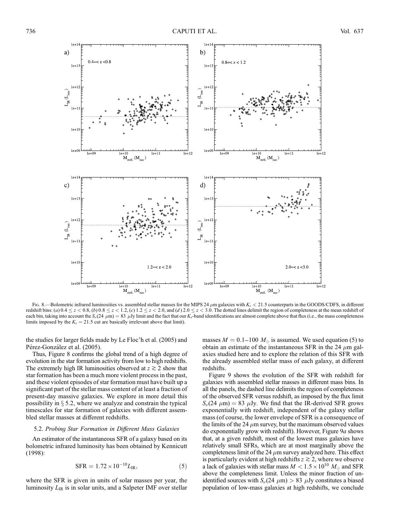

Fig. 8.—Bolometric infrared luminosities vs. assembled stellar masses for the MIPS 24  $\mu$ m galaxies with  $K_s < 21.5$  counterparts in the GOODS/CDFS, in different redshift bins: (a)  $0.4 \le z < 0.8$ , (b)  $0.8 \le z < 1.2$ , (c)  $1.2 \le z < 2.0$ , and (d)  $2.0 \le z < 3.0$ . The dotted lines delimit the region of completeness at the mean redshift of each bin, taking into account the  $S_{\nu}(24 \mu m) = 83 \mu Jy$  limit and the fact that our K<sub>s</sub>-band identifications are almost complete above that flux (i.e., the mass completeness limits imposed by the  $K_s = 21.5$  cut are basically irrelevant above that limit).

the studies for larger fields made by Le Floc'h et al. (2005) and Pérez-González et al. (2005).

Thus, Figure 8 confirms the global trend of a high degree of evolution in the star formation activity from low to high redshifts. The extremely high IR luminosities observed at  $z \ge 2$  show that star formation has been a much more violent process in the past, and these violent episodes of star formation must have built up a significant part of the stellar mass content of at least a fraction of present-day massive galaxies. We explore in more detail this possibility in  $\S$  5.2, where we analyze and constrain the typical timescales for star formation of galaxies with different assembled stellar masses at different redshifts.

#### 5.2. Probing Star Formation in Different Mass Galaxies

An estimator of the instantaneous SFR of a galaxy based on its bolometric infrared luminosity has been obtained by Kennicutt (1998):

$$
SFR = 1.72 \times 10^{-10} L_{IR},
$$
 (5)

where the SFR is given in units of solar masses per year, the luminosity  $L_{IR}$  is in solar units, and a Salpeter IMF over stellar masses  $M = 0.1 - 100 M_{\odot}$  is assumed. We used equation (5) to obtain an estimate of the instantaneous SFR in the 24  $\mu$ m galaxies studied here and to explore the relation of this SFR with the already assembled stellar mass of each galaxy, at different redshifts.

Figure 9 shows the evolution of the SFR with redshift for galaxies with assembled stellar masses in different mass bins. In all the panels, the dashed line delimits the region of completeness of the observed SFR versus redshift, as imposed by the flux limit  $S_{\nu}(24 \mu m) = 83 \mu Jy$ . We find that the IR-derived SFR grows exponentially with redshift, independent of the galaxy stellar mass (of course, the lower envelope of SFR is a consequence of the limits of the 24  $\mu$ m survey, but the maximum observed values do exponentially grow with redshift). However, Figure 9a shows that, at a given redshift, most of the lowest mass galaxies have relatively small SFRs, which are at most marginally above the completeness limit of the 24  $\mu$ m survey analyzed here. This effect is particularly evident at high redshifts  $z \ge 2$ , where we observe a lack of galaxies with stellar mass  $M < 1.5 \times 10^{10}~M_{\odot}$  and SFR above the completeness limit. Unless the minor fraction of unidentified sources with  $S_{\nu}(24 \mu m) > 83 \mu Jy$  constitutes a biased population of low-mass galaxies at high redshifts, we conclude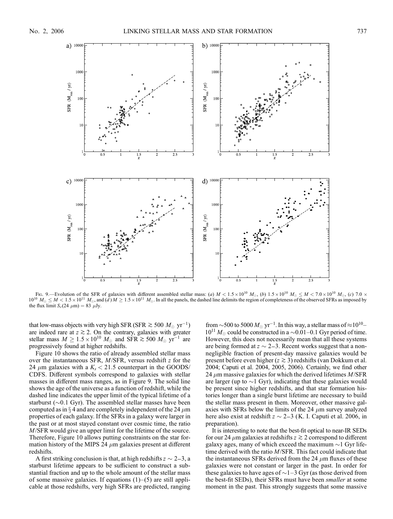

Fig. 9.—Evolution of the SFR of galaxies with different assembled stellar mass: (a)  $M < 1.5 \times 10^{10} M_{\odot}$ , (b)  $1.5 \times 10^{10} M_{\odot} \le M < 7.0 \times 10^{10} M_{\odot}$ , (c)  $7.0 \times 10^{10} M_{\odot}$  $10^{10}$   $M_{\odot} \leq M < 1.5 \times 10^{11}$   $M_{\odot}$ , and  $(d)$   $M \geq 1.5 \times 10^{11}$   $M_{\odot}$ . In all the panels, the dashed line delimits the region of completeness of the observed SFRs as imposed by the flux limit  $S_{\nu}(24 \mu m) = 83 \mu Jy$ .

that low-mass objects with very high SFR (SFR  $\gtrsim 500~M_\odot~{\rm yr}^{-1}$ ) are indeed rare at  $z \gtrsim 2$ . On the contrary, galaxies with greater stellar mass  $M \ge 1.5 \times 10^{10} M_{\odot}$  and SFR  $\gtrsim 500 M_{\odot} \text{ yr}^{-1}$  are progressively found at higher redshifts.

Figure 10 shows the ratio of already assembled stellar mass over the instantaneous SFR, M/SFR, versus redshift z for the 24  $\mu$ m galaxies with a  $K_s < 21.5$  counterpart in the GOODS/ CDFS. Different symbols correspond to galaxies with stellar masses in different mass ranges, as in Figure 9. The solid line shows the age of the universe as a function of redshift, while the dashed line indicates the upper limit of the typical lifetime of a starburst ( $\sim$ 0.1 Gyr). The assembled stellar masses have been computed as in  $\S 4$  and are completely independent of the 24  $\mu$ m properties of each galaxy. If the SFRs in a galaxy were larger in the past or at most stayed constant over cosmic time, the ratio M/SFR would give an upper limit for the lifetime of the source. Therefore, Figure 10 allows putting constraints on the star formation history of the MIPS 24  $\mu$ m galaxies present at different redshifts.

A first striking conclusion is that, at high redshifts  $z \sim 2-3$ , a starburst lifetime appears to be sufficient to construct a substantial fraction and up to the whole amount of the stellar mass of some massive galaxies. If equations  $(1)$ – $(5)$  are still applicable at those redshifts, very high SFRs are predicted, ranging

from  $\sim$ 500 to 5000  $M_{\odot}$  yr $^{-1}$ . In this way, a stellar mass of  $\approx$  10<sup>10</sup> $10^{11} M_{\odot}$  could be constructed in a  $\sim 0.01-0.1$  Gyr period of time. However, this does not necessarily mean that all these systems are being formed at  $z \sim 2-3$ . Recent works suggest that a nonnegligible fraction of present-day massive galaxies would be present before even higher ( $z \ge 3$ ) redshifts (van Dokkum et al. 2004; Caputi et al. 2004, 2005, 2006). Certainly, we find other 24  $\mu$ m massive galaxies for which the derived lifetimes  $M/\text{SFR}$ are larger (up to  $\sim$ 1 Gyr), indicating that these galaxies would be present since higher redshifts, and that star formation histories longer than a single burst lifetime are necessary to build the stellar mass present in them. Moreover, other massive galaxies with SFRs below the limits of the 24  $\mu$ m survey analyzed here also exist at redshift  $z \sim 2-3$  (K. I. Caputi et al. 2006, in preparation).

It is interesting to note that the best-fit optical to near-IR SEDs for our 24  $\mu$ m galaxies at redshifts  $z \gtrsim 2$  correspond to different galaxy ages, many of which exceed the maximum  $\sim$ 1 Gyr lifetime derived with the ratio M/SFR. This fact could indicate that the instantaneous SFRs derived from the 24  $\mu$ m fluxes of these galaxies were not constant or larger in the past. In order for these galaxies to have ages of  $\sim$  1–3 Gyr (as those derived from the best-fit SEDs), their SFRs must have been *smaller* at some moment in the past. This strongly suggests that some massive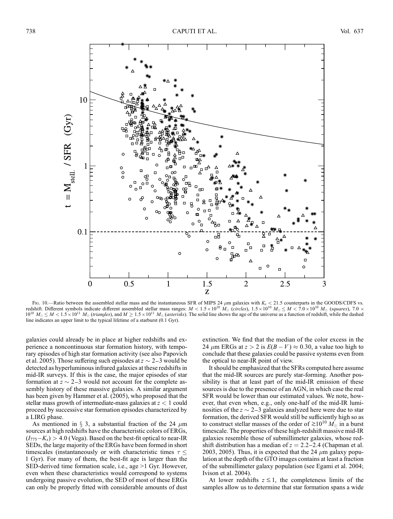

Fig. 10.—Ratio between the assembled stellar mass and the instantaneous SFR of MIPS 24  $\mu$ m galaxies with  $K_s < 21.5$  counterparts in the GOODS/CDFS vs. redshift. Different symbols indicate different assembled stellar mass ranges:  $M < 1.5 \times 10^{10} M_{\odot}$  (circles),  $1.5 \times 10^{10} M_{\odot} \le M < 7.0 \times 10^{10} M_{\odot}$  (squares),  $7.0 \times 10^{10} M_{\odot}$  $10^{10}$   $M_{\odot} \leq M < 1.5 \times 10^{11}$   $M_{\odot}$  (triangles), and  $M \geq 1.5 \times 10^{11}$   $M_{\odot}$  (asterisks). The solid line shows the age of the universe as a function of redshift, while the dashed line indicates an upper limit to the typical lifetime of a starburst (0.1 Gyr).

galaxies could already be in place at higher redshifts and experience a noncontinuous star formation history, with temporary episodes of high star formation activity (see also Papovich et al. 2005). Those suffering such episodes at  $z \sim 2-3$  would be detected as hyperluminous infrared galaxies at these redshifts in mid-IR surveys. If this is the case, the major episodes of star formation at  $z \sim 2-3$  would not account for the complete assembly history of these massive galaxies. A similar argument has been given by Hammer et al. (2005), who proposed that the stellar mass growth of intermediate-mass galaxies at  $z < 1$  could proceed by successive star formation episodes characterized by a LIRG phase.

As mentioned in  $\S$  3, a substantial fraction of the 24  $\mu$ m sources at high redshifts have the characteristic colors of ERGs,  $(I_{775}-K_s) > 4.0$  (Vega). Based on the best-fit optical to near-IR SEDs, the large majority of the ERGs have been formed in short timescales (instantaneously or with characteristic times  $\tau \leq$ 1 Gyr). For many of them, the best-fit age is larger than the SED-derived time formation scale, i.e., age >1 Gyr. However, even when these characteristics would correspond to systems undergoing passive evolution, the SED of most of these ERGs can only be properly fitted with considerable amounts of dust extinction. We find that the median of the color excess in the 24  $\mu$ m ERGs at  $z > 2$  is  $E(B - V) \approx 0.30$ , a value too high to conclude that these galaxies could be passive systems even from the optical to near-IR point of view.

It should be emphasized that the SFRs computed here assume that the mid-IR sources are purely star-forming. Another possibility is that at least part of the mid-IR emission of these sources is due to the presence of an AGN, in which case the real SFR would be lower than our estimated values. We note, however, that even when, e.g., only one-half of the mid-IR luminosities of the  $z \sim 2-3$  galaxies analyzed here were due to star formation, the derived SFR would still be sufficiently high so as to construct stellar masses of the order of  $\approx 10^{10} M_{\odot}$  in a burst timescale. The properties of these high-redshift massive mid-IR galaxies resemble those of submillimeter galaxies, whose redshift distribution has a median of  $z = 2.2 - 2.4$  (Chapman et al. 2003, 2005). Thus, it is expected that the 24  $\mu$ m galaxy population at the depth of the GTO images contains at least a fraction of the submillimeter galaxy population (see Egami et al. 2004; Ivison et al. 2004).

At lower redshifts  $z \lesssim 1$ , the completeness limits of the samples allow us to determine that star formation spans a wide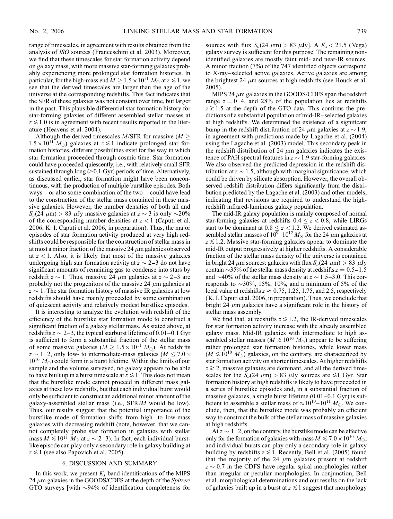range of timescales, in agreement with results obtained from the analysis of ISO sources (Franceschini et al. 2003). Moreover, we find that these timescales for star formation activity depend on galaxy mass, with more massive star-forming galaxies probably experiencing more prolonged star formation histories. In particular, for the high-mass end  $M \ge 1.5 \times 10^{11} M_{\odot}$  at  $z \le 1$ , we see that the derived timescales are larger than the age of the universe at the corresponding redshifts. This fact indicates that the SFR of these galaxies was not constant over time, but larger in the past. This plausible differential star formation history for star-forming galaxies of different assembled stellar masses at  $z \lesssim 1.0$  is in agreement with recent results reported in the literature (Heavens et al. 2004).

Although the derived timescales  $M/\text{SFR}$  for massive ( $M >$  $1.5 \times 10^{11}$  M<sub>o</sub>) galaxies at  $z \le 1$  indicate prolonged star formation histories, different possibilities exist for the way in which star formation proceeded through cosmic time. Star formation could have proceeded quiescently, i.e., with relatively small SFR sustained through long (>0.1 Gyr) periods of time. Alternatively, as discussed earlier, star formation might have been noncontinuous, with the production of multiple burstlike episodes. Both ways—or also some combination of the two— could have lead to the construction of the stellar mass contained in these massive galaxies. However, the number densities of both all and  $S_{\nu}(24 \mu m) > 83 \mu Jy$  massive galaxies at  $z \sim 3$  is only  $\sim$ 20% of the corresponding number densities at  $z < 1$  (Caputi et al. 2006; K. I. Caputi et al. 2006, in preparation). Thus, the major episodes of star formation activity produced at very high redshifts could be responsible for the construction of stellar mass in at most a minor fraction of the massive 24  $\mu$ m galaxies observed at  $z < 1$ . Also, it is likely that most of the massive galaxies undergoing high star formation activity at  $z \sim 2-3$  do not have significant amounts of remaining gas to condense into stars by redshift  $z \sim 1$ . Thus, massive 24  $\mu$ m galaxies at  $z \sim 2-3$  are probably not the progenitors of the massive 24  $\mu$ m galaxies at  $z \sim 1$ . The star formation history of massive IR galaxies at low redshifts should have mainly proceeded by some combination of quiescent activity and relatively modest burstlike episodes.

It is interesting to analyze the evolution with redshift of the efficiency of the burstlike star formation mode to construct a significant fraction of a galaxy stellar mass. As stated above, at redshifts  $z \sim 2-3$ , the typical starburst lifetime of 0.01–0.1 Gyr is sufficient to form a substantial fraction of the stellar mass of some massive galaxies ( $M \ge 1.5 \times 10^{11} M_{\odot}$ ). At redshifts  $z \sim 1$ –2, only low- to intermediate-mass galaxies ( $M \le 7.0 \times$  $10^{10}$   $M_{\odot}$ ) could form in a burst lifetime. Within the limits of our sample and the volume surveyed, no galaxy appears to be able to have built up in a burst timescale at  $z \leq 1$ . This does not mean that the burstlike mode cannot proceed in different mass galaxies at these low redshifts, but that each individual burst would only be sufficient to construct an additional minor amount of the galaxy-assembled stellar mass (i.e., SFR/M would be low). Thus, our results suggest that the potential importance of the burstlike mode of formation shifts from high- to low-mass galaxies with decreasing redshift (note, however, that we cannot completely probe star formation in galaxies with stellar mass  $M \le 10^{11} M_{\odot}$  at  $z \sim 2-3$ ). In fact, each individual burstlike episode can play only a secondary role in galaxy building at  $z \lesssim 1$  (see also Papovich et al. 2005).

#### 6. DISCUSSION AND SUMMARY

In this work, we present  $K_s$ -band identifications of the MIPS 24  $\mu$ m galaxies in the GOODS/CDFS at the depth of the Spitzer/ GTO surveys [with  $\sim$ 94% of identification completeness for

sources with flux  $S_{\nu}(24 \mu m) > 83 \mu Jy$ . A  $K_s < 21.5$  (Vega) galaxy survey is sufficient for this purpose. The remaining nonidentified galaxies are mostly faint mid- and near-IR sources. A minor fraction (7%) of the 747 identified objects correspond to X-ray–selected active galaxies. Active galaxies are among the brightest 24  $\mu$ m sources at high redshifts (see Houck et al. 2005).

MIPS 24  $\mu$ m galaxies in the GOODS/CDFS span the redshift range  $z = 0-4$ , and 28% of the population lies at redshifts  $z \gtrsim 1.5$  at the depth of the GTO data. This confirms the predictions of a substantial population of mid-IR–selected galaxies at high redshifts. We determined the existence of a significant bump in the redshift distribution of 24  $\mu$ m galaxies at  $z \sim 1.9$ , in agreement with predictions made by Lagache et al. (2004) using the Lagache et al. (2003) model. This secondary peak in the redshift distribution of 24  $\mu$ m galaxies indicates the existence of PAH spectral features in  $z \sim 1.9$  star-forming galaxies. We also observed the predicted depression in the redshift distribution at  $z \sim 1.5$ , although with marginal significance, which could be driven by silicate absorption. However, the overall observed redshift distribution differs significantly from the distribution predicted by the Lagache et al. (2003) and other models, indicating that revisions are required to understand the highredshift infrared-luminous galaxy population.

The mid-IR galaxy population is mainly composed of normal star-forming galaxies at redshifts  $0.4 \le z < 0.8$ , while LIRGs start to be dominant at  $0.8 \le z < 1.2$ . We derived estimated assembled stellar masses of  $10^9-10^{12}$   $M_{\odot}$  for the 24  $\mu$ m galaxies at  $z \lesssim 1.2$ . Massive star-forming galaxies appear to dominate the mid-IR output progressively at higher redshifts. A considerable fraction of the stellar mass density of the universe is contained in bright 24  $\mu$ m sources: galaxies with flux  $S_{\nu}$ (24  $\mu$ m) > 83  $\mu$ Jy contain  $\sim$ 35% of the stellar mass density at redshifts  $z = 0.5 - 1.5$ and  $\sim$ 40% of the stellar mass density at  $z \sim 1.5 - 3.0$ . This corresponds to  $\sim$ 30%, 15%, 10%, and a minimum of 5% of the local value at redshifts  $z \approx 0.75$ , 1.25, 1.75, and 2.5, respectively (K. I. Caputi et al. 2006, in preparation). Thus, we conclude that bright 24  $\mu$ m galaxies have a significant role in the history of stellar mass assembly.

We find that, at redshifts  $z \leq 1.2$ , the IR-derived timescales for star formation activity increase with the already assembled galaxy mass. Mid-IR galaxies with intermediate to high assembled stellar masses  $(M \ge 10^{10} M_{\odot})$  appear to be suffering rather prolonged star formation histories, while lower mass  $(M \lesssim 10^{10} M_{\odot})$  galaxies, on the contrary, are characterized by star formation activity on shorter timescales. At higher redshifts  $z \gtrsim 2$ , massive galaxies are dominant, and all the derived timescales for the  $\bar{S}_{\nu}(24 \mu m) > 83 \mu Jy$  sources are  $\leq 1$  Gyr. Star formation history at high redshifts is likely to have proceeded in a series of burstlike episodes and, in a substantial fraction of massive galaxies, a single burst lifetime (0.01–0.1 Gyr) is sufficient to assemble a stellar mass of  $\approx 10^{10} - 10^{11} M_{\odot}$ . We conclude, then, that the burstlike mode was probably an efficient way to construct the bulk of the stellar mass of massive galaxies at high redshifts.

At  $z \sim 1-2$ , on the contrary, the burstlike mode can be effective only for the formation of galaxies with mass  $M \lesssim 7.0 \times 10^{10} M_{\odot}$ , and individual bursts can play only a secondary role in galaxy building by redshifts  $z \leq 1$ . Recently, Bell et al. (2005) found that the majority of the 24  $\mu$ m galaxies present at redshift  $z \sim 0.7$  in the CDFS have regular spiral morphologies rather than irregular or peculiar morphologies. In conjunction, Bell et al. morphological determinations and our results on the lack of galaxies built up in a burst at  $z \leq 1$  suggest that morphology